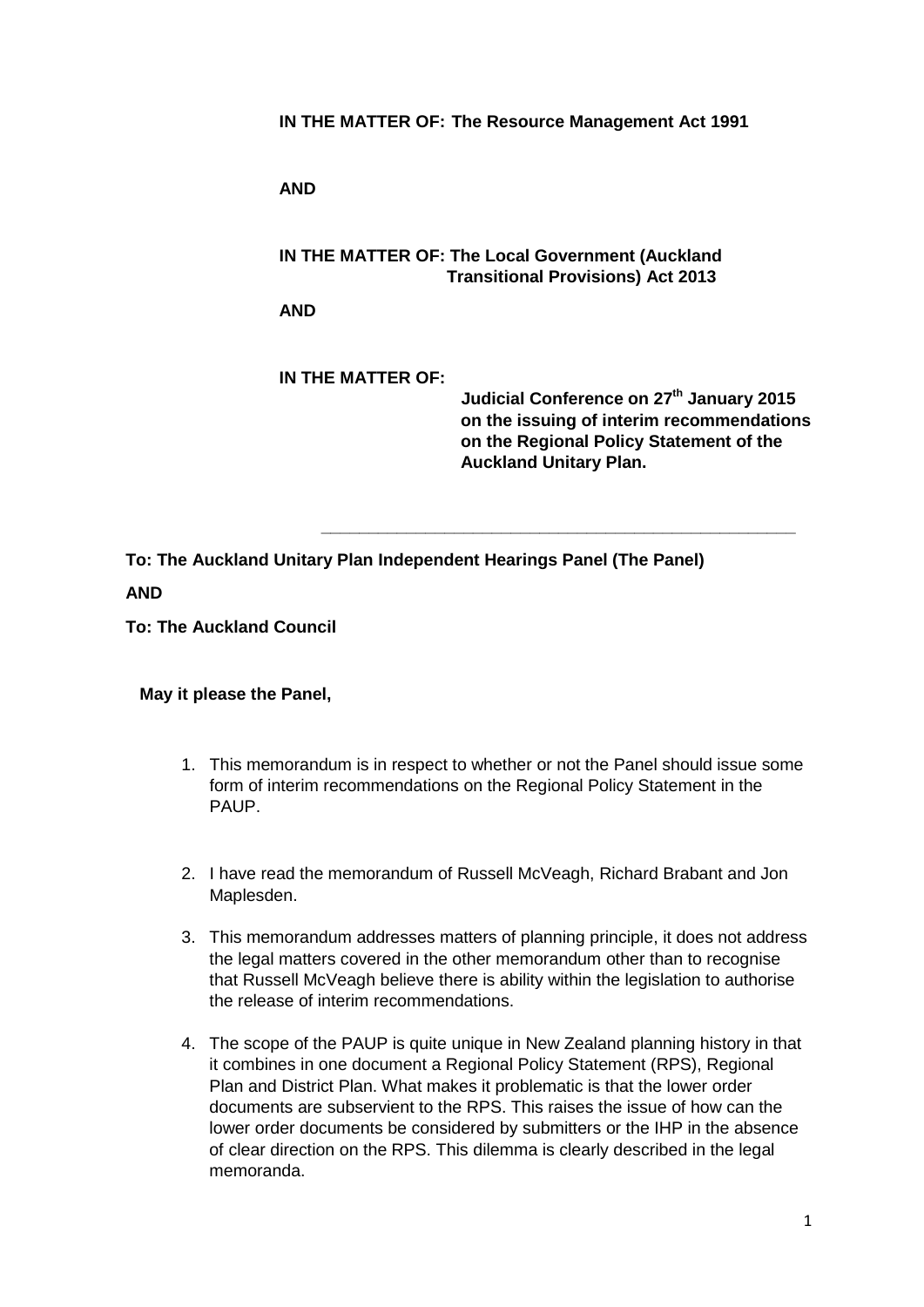**IN THE MATTER OF: The Resource Management Act 1991**

**AND**

**IN THE MATTER OF: The Local Government (Auckland Transitional Provisions) Act 2013**

**AND**

**IN THE MATTER OF: Judicial Conference on 27th January 2015 on the issuing of interim recommendations on the Regional Policy Statement of the Auckland Unitary Plan.**

**\_\_\_\_\_\_\_\_\_\_\_\_\_\_\_\_\_\_\_\_\_\_\_\_\_\_\_\_\_\_\_\_\_\_\_\_\_\_\_\_\_\_\_\_\_\_\_\_\_\_**

**To: The Auckland Unitary Plan Independent Hearings Panel (The Panel) AND** 

**To: The Auckland Council**

## **May it please the Panel,**

- 1. This memorandum is in respect to whether or not the Panel should issue some form of interim recommendations on the Regional Policy Statement in the PAUP.
- 2. I have read the memorandum of Russell McVeagh, Richard Brabant and Jon Maplesden.
- 3. This memorandum addresses matters of planning principle, it does not address the legal matters covered in the other memorandum other than to recognise that Russell McVeagh believe there is ability within the legislation to authorise the release of interim recommendations.
- 4. The scope of the PAUP is quite unique in New Zealand planning history in that it combines in one document a Regional Policy Statement (RPS), Regional Plan and District Plan. What makes it problematic is that the lower order documents are subservient to the RPS. This raises the issue of how can the lower order documents be considered by submitters or the IHP in the absence of clear direction on the RPS. This dilemma is clearly described in the legal memoranda.